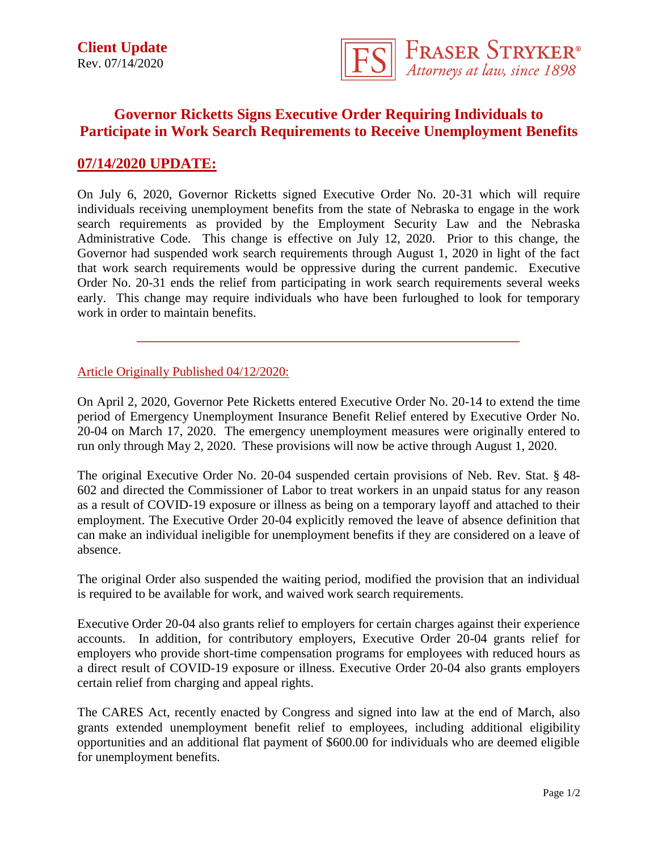

## **Governor Ricketts Signs Executive Order Requiring Individuals to Participate in Work Search Requirements to Receive Unemployment Benefits**

## **07/14/2020 UPDATE:**

On July 6, 2020, Governor Ricketts signed Executive Order No. 20-31 which will require individuals receiving unemployment benefits from the state of Nebraska to engage in the work search requirements as provided by the Employment Security Law and the Nebraska Administrative Code. This change is effective on July 12, 2020. Prior to this change, the Governor had suspended work search requirements through August 1, 2020 in light of the fact that work search requirements would be oppressive during the current pandemic. Executive Order No. 20-31 ends the relief from participating in work search requirements several weeks early. This change may require individuals who have been furloughed to look for temporary work in order to maintain benefits.

## Article Originally Published 04/12/2020:

On April 2, 2020, Governor Pete Ricketts entered Executive Order No. 20-14 to extend the time period of Emergency Unemployment Insurance Benefit Relief entered by Executive Order No. 20-04 on March 17, 2020. The emergency unemployment measures were originally entered to run only through May 2, 2020. These provisions will now be active through August 1, 2020.

The original Executive Order No. 20-04 suspended certain provisions of Neb. Rev. Stat. § 48- 602 and directed the Commissioner of Labor to treat workers in an unpaid status for any reason as a result of COVID-19 exposure or illness as being on a temporary layoff and attached to their employment. The Executive Order 20-04 explicitly removed the leave of absence definition that can make an individual ineligible for unemployment benefits if they are considered on a leave of absence.

The original Order also suspended the waiting period, modified the provision that an individual is required to be available for work, and waived work search requirements.

Executive Order 20-04 also grants relief to employers for certain charges against their experience accounts. In addition, for contributory employers, Executive Order 20-04 grants relief for employers who provide short-time compensation programs for employees with reduced hours as a direct result of COVID-19 exposure or illness. Executive Order 20-04 also grants employers certain relief from charging and appeal rights.

The CARES Act, recently enacted by Congress and signed into law at the end of March, also grants extended unemployment benefit relief to employees, including additional eligibility opportunities and an additional flat payment of \$600.00 for individuals who are deemed eligible for unemployment benefits.